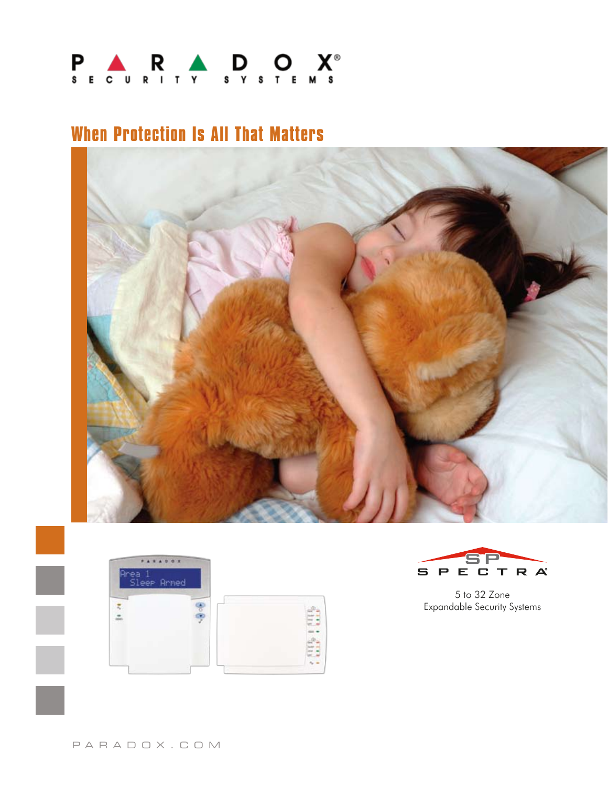

## **When Protection Is All That Matters**







5 to 32 Zone Expandable Security Systems